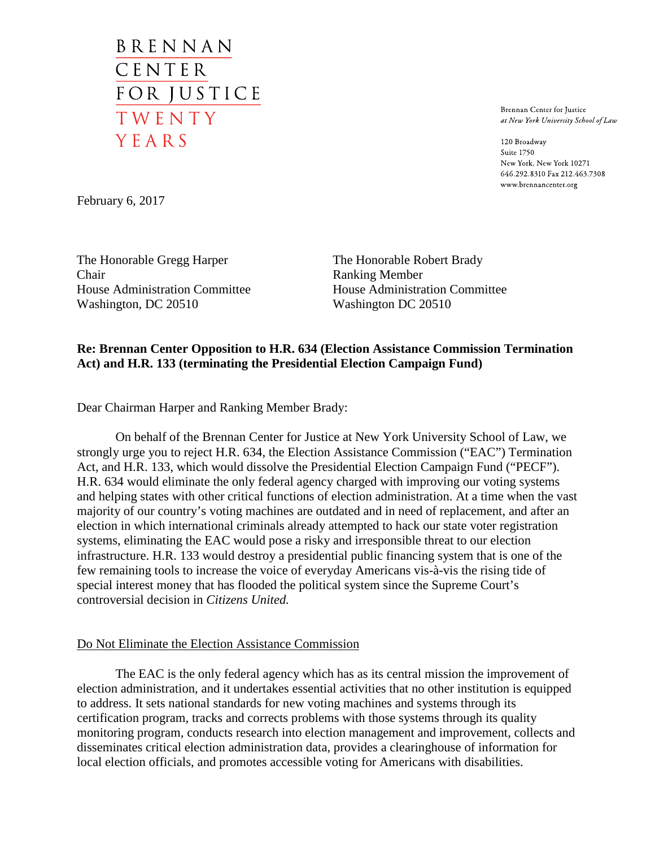BRENNAN CENTER FOR JUSTICE TWENTY YEARS

Brennan Center for Justice at New York University School of Law

120 Broadway Suite 1750 New York, New York 10271 646.292.8310 Fax 212.463.7308 www.brennancenter.org

February 6, 2017

The Honorable Gregg Harper Chair House Administration Committee Washington, DC 20510

The Honorable Robert Brady Ranking Member House Administration Committee Washington DC 20510

## **Re: Brennan Center Opposition to H.R. 634 (Election Assistance Commission Termination Act) and H.R. 133 (terminating the Presidential Election Campaign Fund)**

Dear Chairman Harper and Ranking Member Brady:

On behalf of the Brennan Center for Justice at New York University School of Law, we strongly urge you to reject H.R. 634, the Election Assistance Commission ("EAC") Termination Act, and H.R. 133, which would dissolve the Presidential Election Campaign Fund ("PECF"). H.R. 634 would eliminate the only federal agency charged with improving our voting systems and helping states with other critical functions of election administration. At a time when the vast majority of our country's voting machines are outdated and in need of replacement, and after an election in which international criminals already attempted to hack our state voter registration systems, eliminating the EAC would pose a risky and irresponsible threat to our election infrastructure. H.R. 133 would destroy a presidential public financing system that is one of the few remaining tools to increase the voice of everyday Americans vis-à-vis the rising tide of special interest money that has flooded the political system since the Supreme Court's controversial decision in *Citizens United.*

## Do Not Eliminate the Election Assistance Commission

The EAC is the only federal agency which has as its central mission the improvement of election administration, and it undertakes essential activities that no other institution is equipped to address. It sets national standards for new voting machines and systems through its certification program, tracks and corrects problems with those systems through its quality monitoring program, conducts research into election management and improvement, collects and disseminates critical election administration data, provides a clearinghouse of information for local election officials, and promotes accessible voting for Americans with disabilities.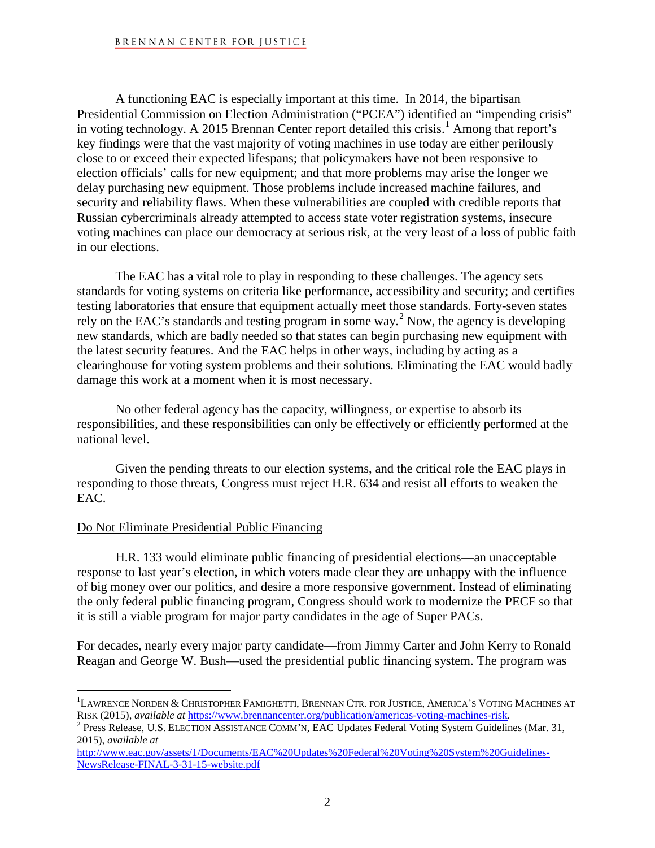## BRENNAN CENTER FOR JUSTICE

A functioning EAC is especially important at this time. In 2014, the bipartisan Presidential Commission on Election Administration ("PCEA") identified an "impending crisis" in voting technology. A 20[1](#page-1-0)5 Brennan Center report detailed this crisis.<sup>1</sup> Among that report's key findings were that the vast majority of voting machines in use today are either perilously close to or exceed their expected lifespans; that policymakers have not been responsive to election officials' calls for new equipment; and that more problems may arise the longer we delay purchasing new equipment. Those problems include increased machine failures, and security and reliability flaws. When these vulnerabilities are coupled with credible reports that Russian cybercriminals already attempted to access state voter registration systems, insecure voting machines can place our democracy at serious risk, at the very least of a loss of public faith in our elections.

The EAC has a vital role to play in responding to these challenges. The agency sets standards for voting systems on criteria like performance, accessibility and security; and certifies testing laboratories that ensure that equipment actually meet those standards. Forty-seven states rely on the EAC's standards and testing program in some way.[2](#page-1-1) Now, the agency is developing new standards, which are badly needed so that states can begin purchasing new equipment with the latest security features. And the EAC helps in other ways, including by acting as a clearinghouse for voting system problems and their solutions. Eliminating the EAC would badly damage this work at a moment when it is most necessary.

No other federal agency has the capacity, willingness, or expertise to absorb its responsibilities, and these responsibilities can only be effectively or efficiently performed at the national level.

Given the pending threats to our election systems, and the critical role the EAC plays in responding to those threats, Congress must reject H.R. 634 and resist all efforts to weaken the EAC.

## Do Not Eliminate Presidential Public Financing

H.R. 133 would eliminate public financing of presidential elections—an unacceptable response to last year's election, in which voters made clear they are unhappy with the influence of big money over our politics, and desire a more responsive government. Instead of eliminating the only federal public financing program, Congress should work to modernize the PECF so that it is still a viable program for major party candidates in the age of Super PACs.

For decades, nearly every major party candidate—from Jimmy Carter and John Kerry to Ronald Reagan and George W. Bush—used the presidential public financing system. The program was

<span id="page-1-0"></span> 1 LAWRENCE NORDEN & CHRISTOPHER FAMIGHETTI, BRENNAN CTR. FOR JUSTICE, AMERICA'S VOTING MACHINES AT RISK (2015), *available at* [https://www.brennancenter.org/publication/americas-voting-machines-risk.](https://www.brennancenter.org/publication/americas-voting-machines-risk) <sup>2</sup> Press Release, U.S. ELECTION ASSISTANCE COMM'N, EAC Updates Federal Voting System Guidelines (Mar. 31,

<span id="page-1-1"></span><sup>2015),</sup> *available at*

[http://www.eac.gov/assets/1/Documents/EAC%20Updates%20Federal%20Voting%20System%20Guidelines-](http://www.eac.gov/assets/1/Documents/EAC%20Updates%20Federal%20Voting%20System%20Guidelines-NewsRelease-FINAL-3-31-15-website.pdf)[NewsRelease-FINAL-3-31-15-website.pdf](http://www.eac.gov/assets/1/Documents/EAC%20Updates%20Federal%20Voting%20System%20Guidelines-NewsRelease-FINAL-3-31-15-website.pdf)